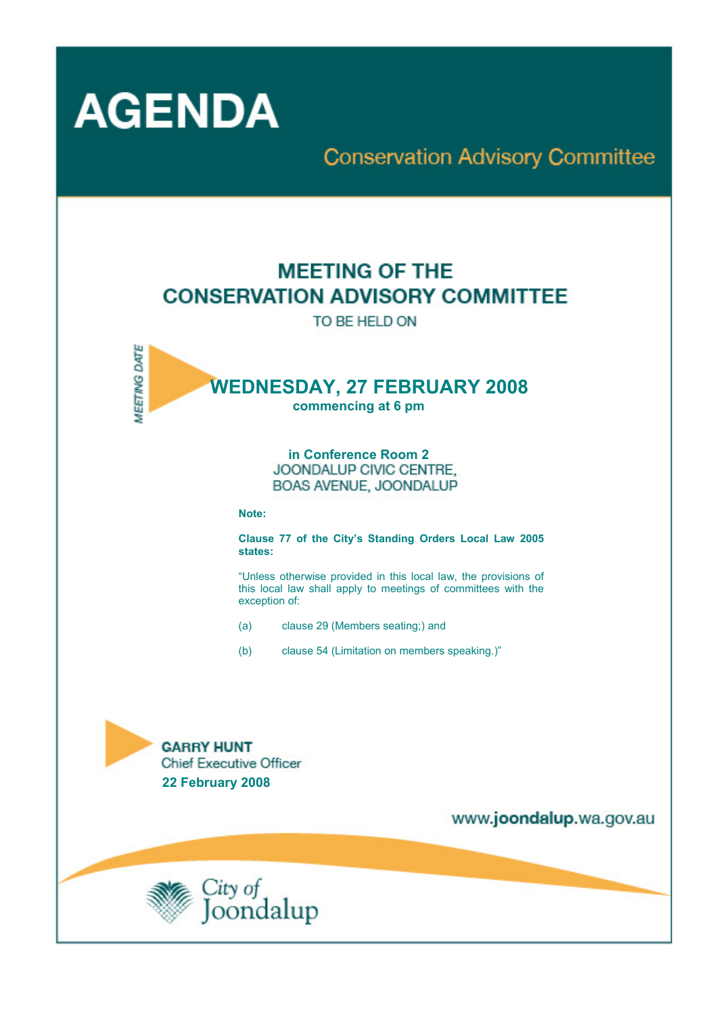

# **Conservation Advisory Committee**

# **MEETING OF THE CONSERVATION ADVISORY COMMITTEE**

TO BE HELD ON



# **in Conference Room 2**  BOAS AVENUE, JOONDALUP

**Note:** 

**Clause 77 of the City's Standing Orders Local Law 2005 states:** 

"Unless otherwise provided in this local law, the provisions of this local law shall apply to meetings of committees with the exception of:

- (a) clause 29 (Members seating;) and
- (b) clause 54 (Limitation on members speaking.)"

**GARRY HUNT Chief Executive Officer 22 February 2008** 

www.joondalup.wa.gov.au

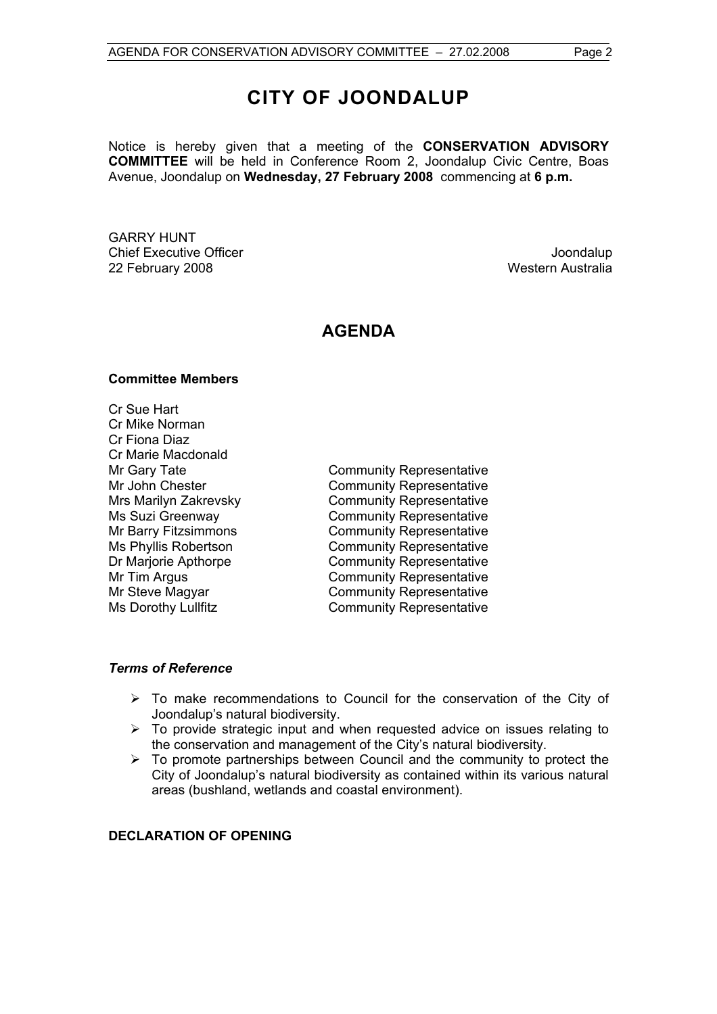# **CITY OF JOONDALUP**

Notice is hereby given that a meeting of the **CONSERVATION ADVISORY COMMITTEE** will be held in Conference Room 2, Joondalup Civic Centre, Boas Avenue, Joondalup on **Wednesday, 27 February 2008** commencing at **6 p.m.** 

GARRY HUNT Chief Executive Officer **Joondalup** 22 February 2008 Western Australia

# **AGENDA**

#### **Committee Members**

Cr Sue Hart Cr Mike Norman Cr Fiona Diaz Cr Marie Macdonald

Mr Gary Tate **Community Representative** Mr John Chester **Community Representative** Mrs Marilyn Zakrevsky Community Representative Ms Suzi Greenway **Community Representative** Mr Barry Fitzsimmons<br>
Ms Phyllis Robertson<br>
Community Representative Community Representative Dr Marjorie Apthorpe Community Representative Mr Tim Argus **Community Representative** Mr Steve Magyar **Community Representative** Ms Dorothy Lullfitz Community Representative

#### *Terms of Reference*

- $\triangleright$  To make recommendations to Council for the conservation of the City of Joondalup's natural biodiversity.
- $\triangleright$  To provide strategic input and when requested advice on issues relating to the conservation and management of the City's natural biodiversity.
- $\triangleright$  To promote partnerships between Council and the community to protect the City of Joondalup's natural biodiversity as contained within its various natural areas (bushland, wetlands and coastal environment).

# **DECLARATION OF OPENING**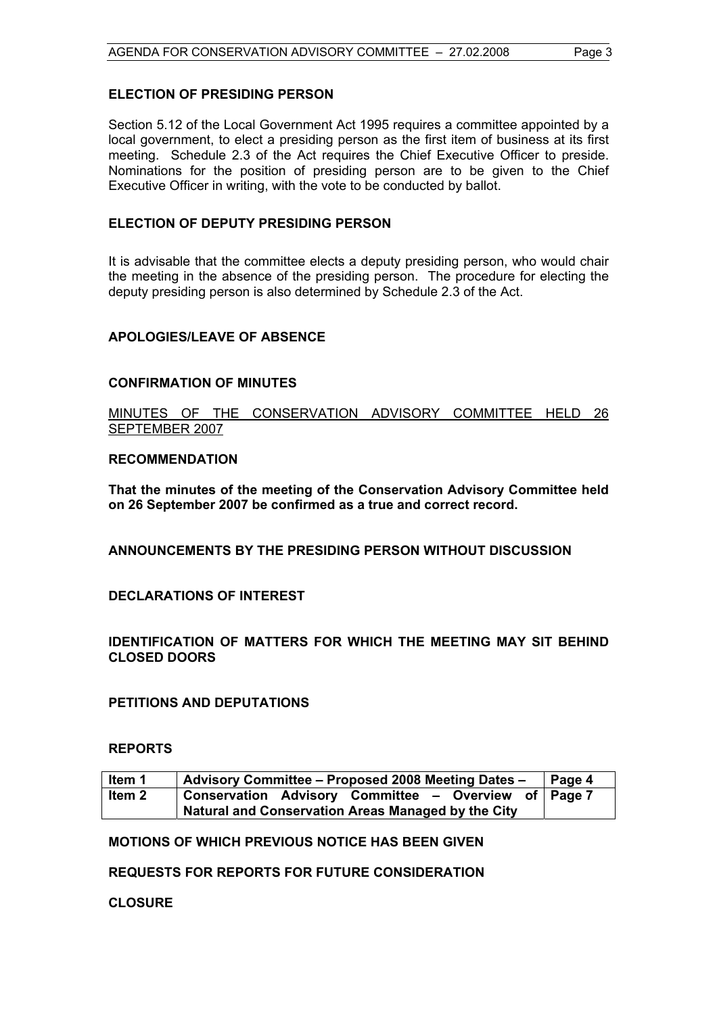#### **ELECTION OF PRESIDING PERSON**

Section 5.12 of the Local Government Act 1995 requires a committee appointed by a local government, to elect a presiding person as the first item of business at its first meeting. Schedule 2.3 of the Act requires the Chief Executive Officer to preside. Nominations for the position of presiding person are to be given to the Chief Executive Officer in writing, with the vote to be conducted by ballot.

#### **ELECTION OF DEPUTY PRESIDING PERSON**

It is advisable that the committee elects a deputy presiding person, who would chair the meeting in the absence of the presiding person. The procedure for electing the deputy presiding person is also determined by Schedule 2.3 of the Act.

#### **APOLOGIES/LEAVE OF ABSENCE**

#### **CONFIRMATION OF MINUTES**

MINUTES OF THE CONSERVATION ADVISORY COMMITTEE HELD 26 SEPTEMBER 2007

#### **RECOMMENDATION**

**That the minutes of the meeting of the Conservation Advisory Committee held on 26 September 2007 be confirmed as a true and correct record.** 

**ANNOUNCEMENTS BY THE PRESIDING PERSON WITHOUT DISCUSSION** 

**DECLARATIONS OF INTEREST** 

**IDENTIFICATION OF MATTERS FOR WHICH THE MEETING MAY SIT BEHIND CLOSED DOORS** 

**PETITIONS AND DEPUTATIONS** 

#### **REPORTS**

| Item 1 | Advisory Committee - Proposed 2008 Meeting Dates -   | Page 4 |
|--------|------------------------------------------------------|--------|
| ltem 2 | Conservation Advisory Committee - Overview of Page 7 |        |
|        | Natural and Conservation Areas Managed by the City   |        |

**MOTIONS OF WHICH PREVIOUS NOTICE HAS BEEN GIVEN** 

**REQUESTS FOR REPORTS FOR FUTURE CONSIDERATION** 

**CLOSURE**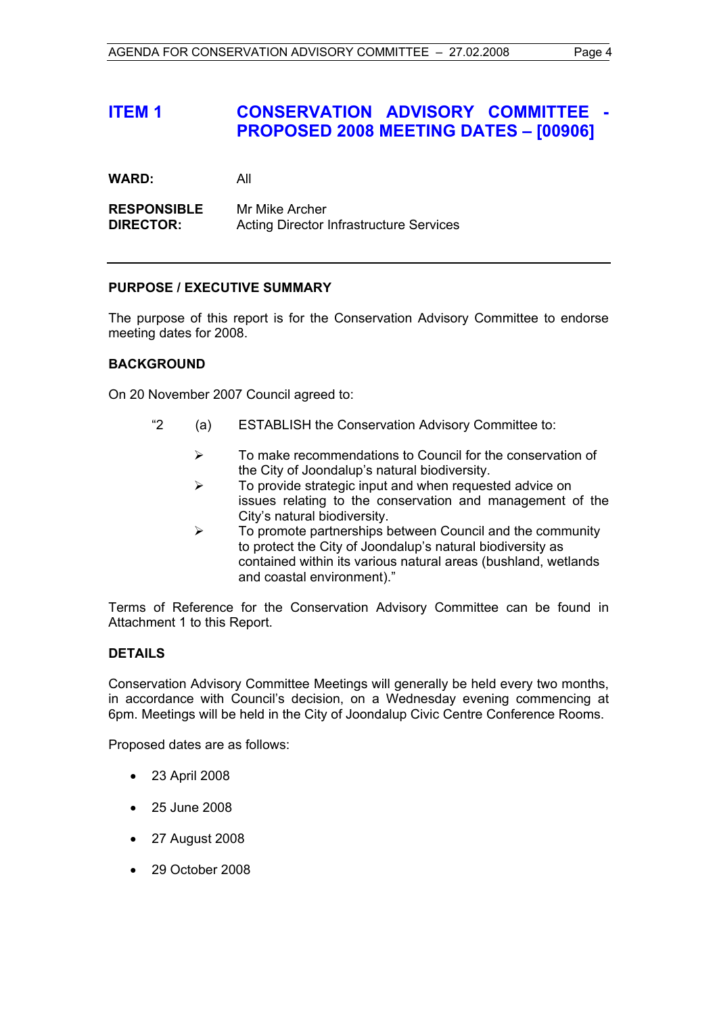# **ITEM 1 CONSERVATION ADVISORY COMMITTEE - PROPOSED 2008 MEETING DATES – [00906]**

**WARD:** All

**RESPONSIBLE** Mr Mike Archer **DIRECTOR:** Acting Director Infrastructure Services

# **PURPOSE / EXECUTIVE SUMMARY**

The purpose of this report is for the Conservation Advisory Committee to endorse meeting dates for 2008.

#### **BACKGROUND**

On 20 November 2007 Council agreed to:

- "2 (a) ESTABLISH the Conservation Advisory Committee to:
	- ¾ To make recommendations to Council for the conservation of the City of Joondalup's natural biodiversity.
	- $\triangleright$  To provide strategic input and when requested advice on issues relating to the conservation and management of the City's natural biodiversity.
	- $\triangleright$  To promote partnerships between Council and the community to protect the City of Joondalup's natural biodiversity as contained within its various natural areas (bushland, wetlands and coastal environment)."

Terms of Reference for the Conservation Advisory Committee can be found in Attachment 1 to this Report.

# **DETAILS**

Conservation Advisory Committee Meetings will generally be held every two months, in accordance with Council's decision, on a Wednesday evening commencing at 6pm. Meetings will be held in the City of Joondalup Civic Centre Conference Rooms.

Proposed dates are as follows:

- 23 April 2008
- 25 June 2008
- 27 August 2008
- 29 October 2008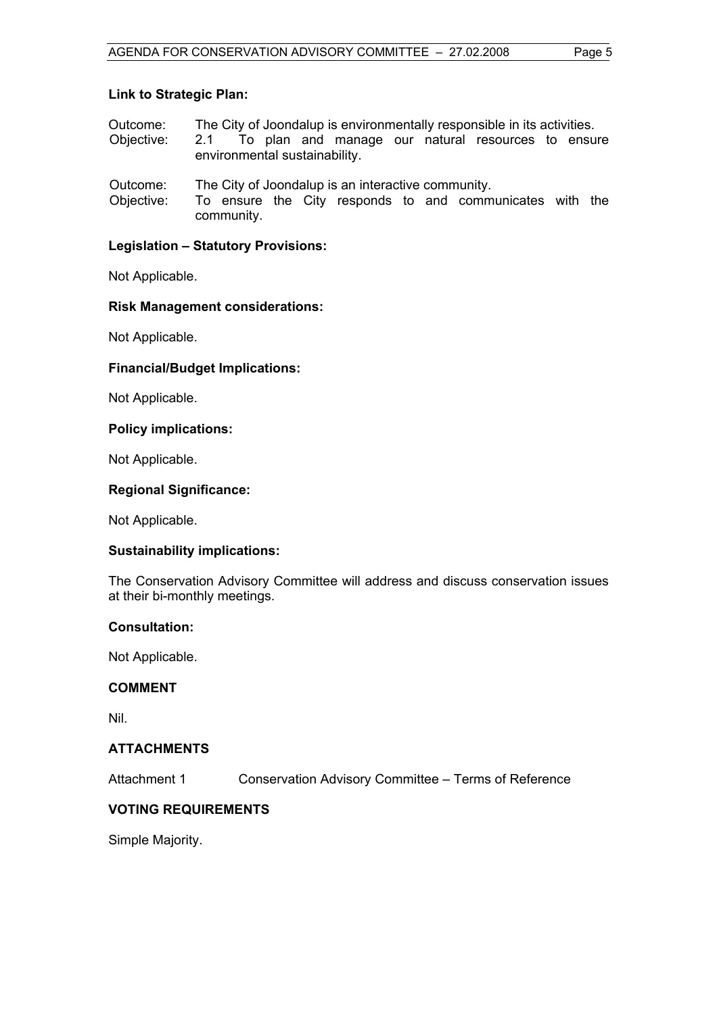### **Link to Strategic Plan:**

- Outcome: The City of Joondalup is environmentally responsible in its activities.
- Objective: 2.1 To plan and manage our natural resources to ensure environmental sustainability.
- Outcome: The City of Joondalup is an interactive community.
- Objective: To ensure the City responds to and communicates with the community.

# **Legislation – Statutory Provisions:**

Not Applicable.

# **Risk Management considerations:**

Not Applicable.

# **Financial/Budget Implications:**

Not Applicable.

# **Policy implications:**

Not Applicable.

# **Regional Significance:**

Not Applicable.

# **Sustainability implications:**

The Conservation Advisory Committee will address and discuss conservation issues at their bi-monthly meetings.

# **Consultation:**

Not Applicable.

# **COMMENT**

Nil.

# **ATTACHMENTS**

Attachment 1 Conservation Advisory Committee – Terms of Reference

# **VOTING REQUIREMENTS**

Simple Majority.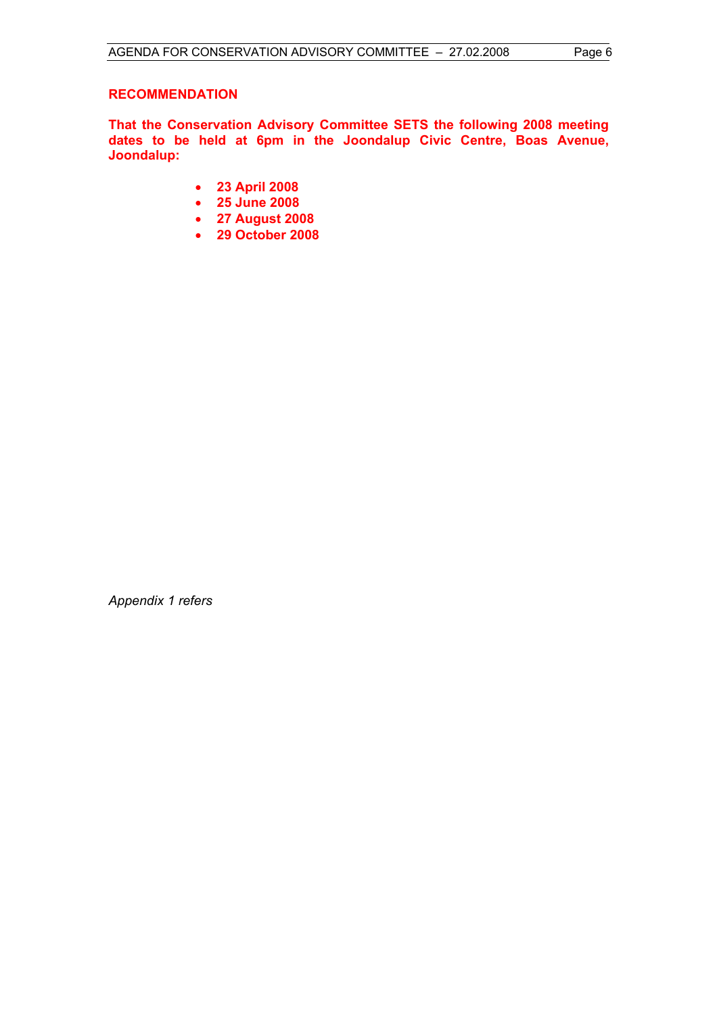# **RECOMMENDATION**

**That the Conservation Advisory Committee SETS the following 2008 meeting dates to be held at 6pm in the Joondalup Civic Centre, Boas Avenue, Joondalup:** 

- **23 April 2008**
- **25 June 2008**
- **27 August 2008**
- **29 October 2008**

*Appendix 1 refers*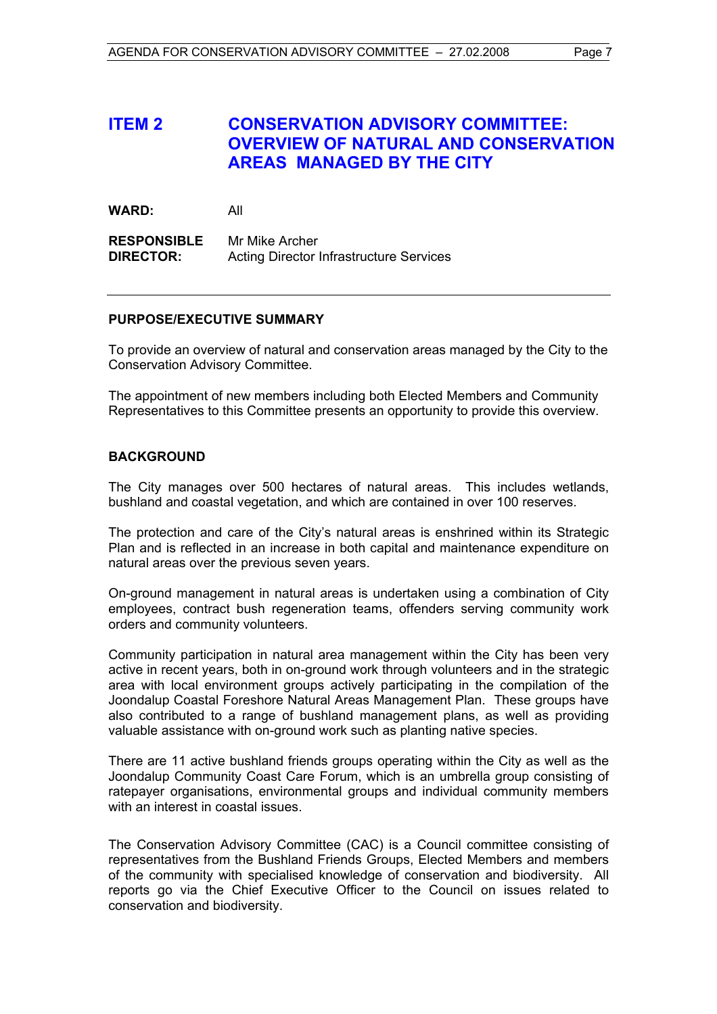# **ITEM 2 CONSERVATION ADVISORY COMMITTEE: OVERVIEW OF NATURAL AND CONSERVATION AREAS MANAGED BY THE CITY**

**WARD:** All

**RESPONSIBLE** Mr Mike Archer **DIRECTOR:** Acting Director Infrastructure Services

#### **PURPOSE/EXECUTIVE SUMMARY**

To provide an overview of natural and conservation areas managed by the City to the Conservation Advisory Committee.

The appointment of new members including both Elected Members and Community Representatives to this Committee presents an opportunity to provide this overview.

#### **BACKGROUND**

The City manages over 500 hectares of natural areas. This includes wetlands, bushland and coastal vegetation, and which are contained in over 100 reserves.

The protection and care of the City's natural areas is enshrined within its Strategic Plan and is reflected in an increase in both capital and maintenance expenditure on natural areas over the previous seven years.

On-ground management in natural areas is undertaken using a combination of City employees, contract bush regeneration teams, offenders serving community work orders and community volunteers.

Community participation in natural area management within the City has been very active in recent years, both in on-ground work through volunteers and in the strategic area with local environment groups actively participating in the compilation of the Joondalup Coastal Foreshore Natural Areas Management Plan. These groups have also contributed to a range of bushland management plans, as well as providing valuable assistance with on-ground work such as planting native species.

There are 11 active bushland friends groups operating within the City as well as the Joondalup Community Coast Care Forum, which is an umbrella group consisting of ratepayer organisations, environmental groups and individual community members with an interest in coastal issues.

The Conservation Advisory Committee (CAC) is a Council committee consisting of representatives from the Bushland Friends Groups, Elected Members and members of the community with specialised knowledge of conservation and biodiversity. All reports go via the Chief Executive Officer to the Council on issues related to conservation and biodiversity.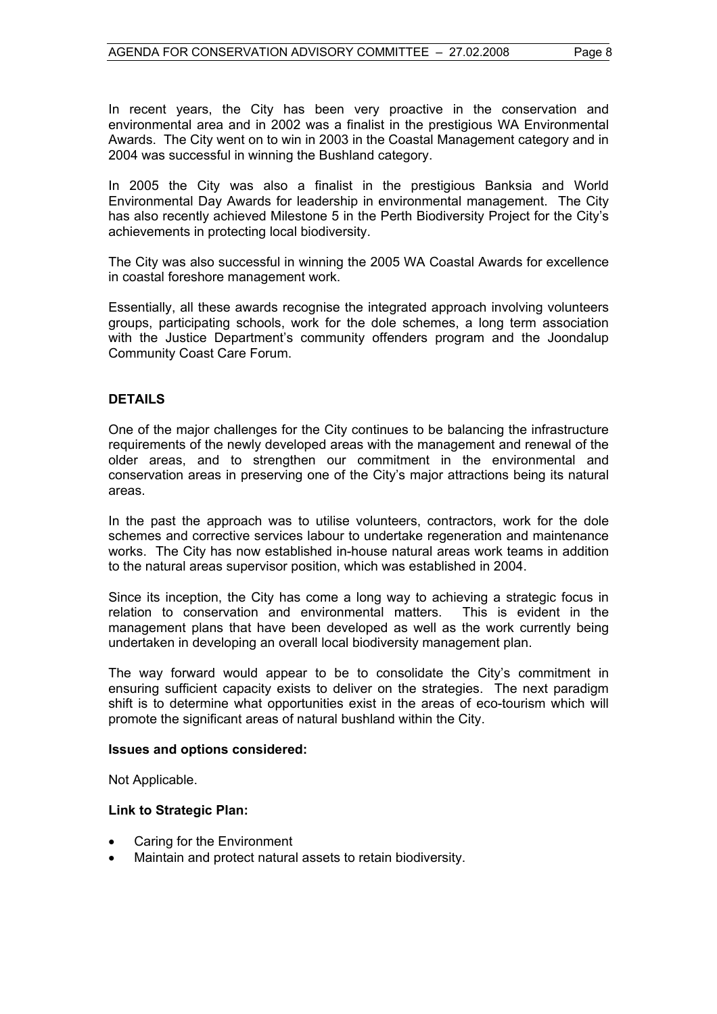In recent years, the City has been very proactive in the conservation and environmental area and in 2002 was a finalist in the prestigious WA Environmental Awards. The City went on to win in 2003 in the Coastal Management category and in 2004 was successful in winning the Bushland category.

In 2005 the City was also a finalist in the prestigious Banksia and World Environmental Day Awards for leadership in environmental management. The City has also recently achieved Milestone 5 in the Perth Biodiversity Project for the City's achievements in protecting local biodiversity.

The City was also successful in winning the 2005 WA Coastal Awards for excellence in coastal foreshore management work.

Essentially, all these awards recognise the integrated approach involving volunteers groups, participating schools, work for the dole schemes, a long term association with the Justice Department's community offenders program and the Joondalup Community Coast Care Forum.

# **DETAILS**

One of the major challenges for the City continues to be balancing the infrastructure requirements of the newly developed areas with the management and renewal of the older areas, and to strengthen our commitment in the environmental and conservation areas in preserving one of the City's major attractions being its natural areas.

In the past the approach was to utilise volunteers, contractors, work for the dole schemes and corrective services labour to undertake regeneration and maintenance works. The City has now established in-house natural areas work teams in addition to the natural areas supervisor position, which was established in 2004.

Since its inception, the City has come a long way to achieving a strategic focus in relation to conservation and environmental matters. This is evident in the management plans that have been developed as well as the work currently being undertaken in developing an overall local biodiversity management plan.

The way forward would appear to be to consolidate the City's commitment in ensuring sufficient capacity exists to deliver on the strategies. The next paradigm shift is to determine what opportunities exist in the areas of eco-tourism which will promote the significant areas of natural bushland within the City.

# **Issues and options considered:**

Not Applicable.

# **Link to Strategic Plan:**

- Caring for the Environment
- Maintain and protect natural assets to retain biodiversity.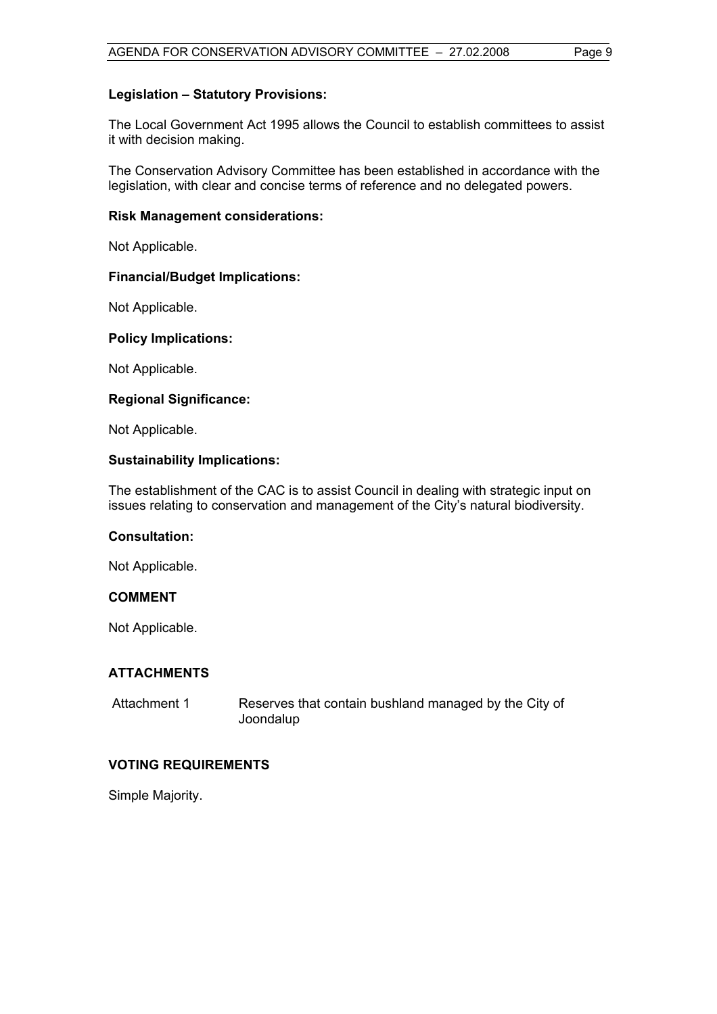### **Legislation – Statutory Provisions:**

The Local Government Act 1995 allows the Council to establish committees to assist it with decision making.

The Conservation Advisory Committee has been established in accordance with the legislation, with clear and concise terms of reference and no delegated powers.

#### **Risk Management considerations:**

Not Applicable.

#### **Financial/Budget Implications:**

Not Applicable.

#### **Policy Implications:**

Not Applicable.

#### **Regional Significance:**

Not Applicable.

#### **Sustainability Implications:**

The establishment of the CAC is to assist Council in dealing with strategic input on issues relating to conservation and management of the City's natural biodiversity.

#### **Consultation:**

Not Applicable.

#### **COMMENT**

Not Applicable.

#### **ATTACHMENTS**

| Attachment 1 | Reserves that contain bushland managed by the City of |
|--------------|-------------------------------------------------------|
|              | Joondalup                                             |

#### **VOTING REQUIREMENTS**

Simple Majority.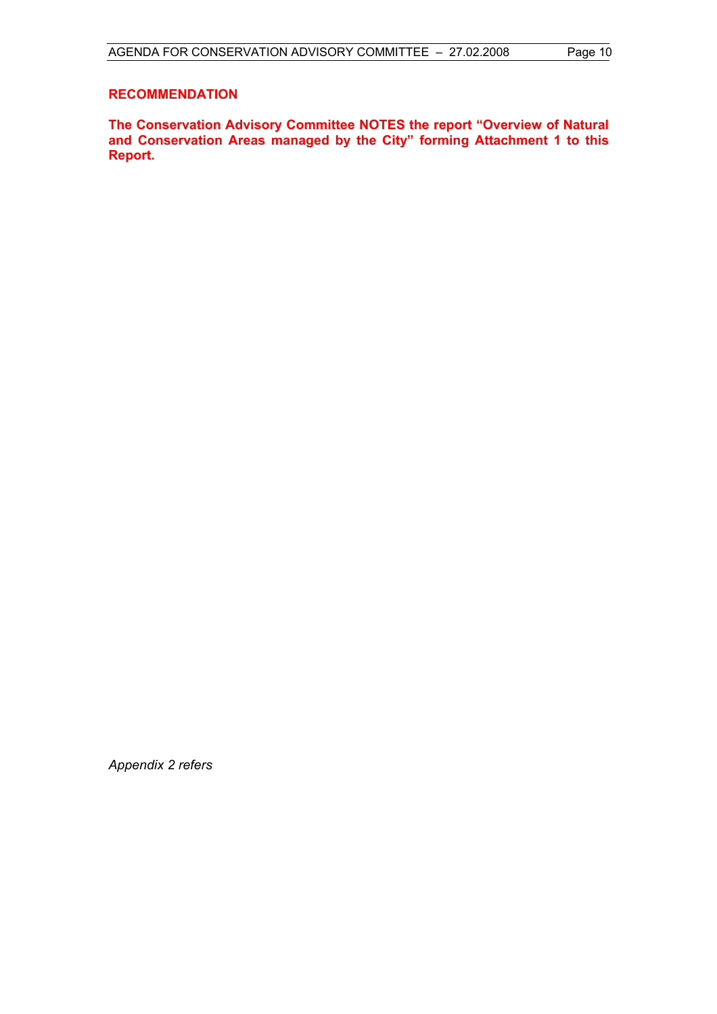### **RECOMMENDATION**

**The Conservation Advisory Committee NOTES the report "Overview of Natural and Conservation Areas managed by the City" forming Attachment 1 to this Report.** 

*Appendix 2 refers*